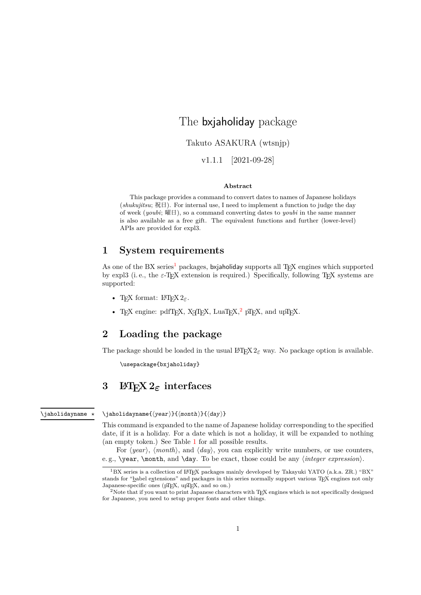# The bxjaholiday package

Takuto ASAKURA (wtsnjp)

v1.1.1 [2021-09-28]

#### **Abstract**

This package provides a command to convert dates to names of Japanese holidays (*shukujitsu*; 祝日). For internal use, I need to implement a function to judge the day of week (*youbi*; 曜日), so a command converting dates to *youbi* in the same manner is also available as a free gift. The equivalent functions and further (lower-level) APIs are provided for expl3.

#### **1 System requirements**

As one of the BX series<sup>1</sup> packages, bxjaholiday supports all T<sub>EX</sub> engines which supported by expl3 (i. e., the  $\varepsilon$ -T<sub>E</sub>X extension is required.) Specifically, following T<sub>E</sub>X systems are supported:

- T<sub>E</sub>X format: L<sup>AT</sup>[EX](#page-0-0)  $2_{\epsilon}$ .
- TEX engine:  $pdfTr[X, X_{\overline{A}}Tr[X, LaiTr[X,^2 pTr[X, and upTr[X,$

### **2 Loading the package**

The package should be loaded in the usual  $L^2 \to 2\varepsilon$  way. No package option is available.

\usepackage{bxjaholiday}

## **3 LATEX 2***ε* **interfaces**

\jaholidayname *⋆*

\jaholidayname{*⟨year⟩*}{*⟨month⟩*}{*⟨day⟩*}

This command is expanded to the name of Japanese holiday corresponding to the specified date, if it is a holiday. For a date which is not a holiday, it will be expanded to nothing (an empty token.) See Table 1 for all possible results.

For *⟨year⟩*, *⟨month⟩*, and *⟨day⟩*, you can explicitly write numbers, or use counters, e. g., \year, \month, and \day. To be exact, those could be any *⟨integer expression⟩*.

<sup>&</sup>lt;sup>1</sup>BX series is a collection of LATEX packages mainly developed by Takayuki YATO (a.k.a. ZR.) "BX" stands for "babel extensions" and [pa](#page-2-0)ckages in this series normally support various TEX engines not only Japanese-specific ones (pTEX, upTEX, and so on.)

<span id="page-0-0"></span><sup>&</sup>lt;sup>2</sup>Note that if you want to print Japanese characters with T<sub>E</sub>X engines which is not specifically designed for Japanese, you need to setup proper fonts and other things.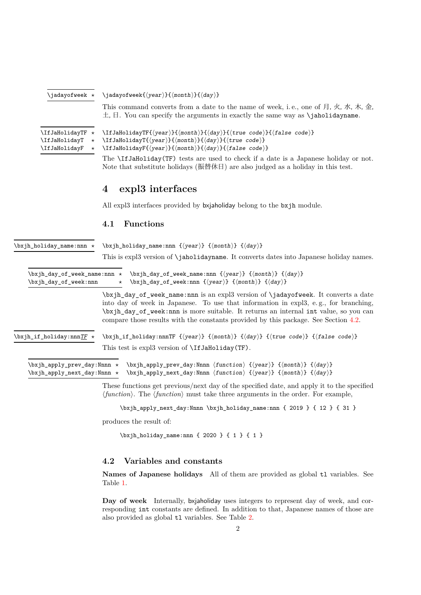| \jadayofweek *                                                             | $\langle \text{jadayofweek} \{\langle year \rangle\} \{\langle month \rangle\} \{\langle day \rangle\}$                                                                                                                                                                                                                                                                                                                                                                             |  |  |  |  |
|----------------------------------------------------------------------------|-------------------------------------------------------------------------------------------------------------------------------------------------------------------------------------------------------------------------------------------------------------------------------------------------------------------------------------------------------------------------------------------------------------------------------------------------------------------------------------|--|--|--|--|
|                                                                            | This command converts from a date to the name of week, i.e., one of $\mathcal{F}, \mathcal{F}, \mathcal{F}, \mathcal{F}, \mathcal{F}, \mathcal{F}$ ,<br>$\pm$ , $\pm$ . You can specify the arguments in exactly the same way as <b>\jaholidayname.</b>                                                                                                                                                                                                                             |  |  |  |  |
| \IfJaHolidayTF *<br>\IfJaHolidayT<br>$^\star$<br>\IfJaHolidayF<br>$^\star$ | \IfJaHolidayTF{ $\langle year \rangle$ }{ $\langle month \rangle$ }{ $\langle day \rangle$ }{ $\langle true \ code \rangle$ }{ $\langle false \ code \rangle$ }<br>$\If JaHolidayT{\year}\H{\rm month}{\d{day}}{\d{true code}}$<br>$\If JaHolidayF({year}) {\limth} {\d(ay)} {\d(false \ code)}$<br>The <b>\IfJaHoliday</b> (TF) tests are used to check if a date is a Japanese holiday or not.<br>Note that substitute holidays (振替休日) are also judged as a holiday in this test. |  |  |  |  |
|                                                                            |                                                                                                                                                                                                                                                                                                                                                                                                                                                                                     |  |  |  |  |
|                                                                            | expl3 interfaces<br>$\overline{\mathbf{4}}$                                                                                                                                                                                                                                                                                                                                                                                                                                         |  |  |  |  |
|                                                                            | All expl3 interfaces provided by bxjaholiday belong to the bxjh module.                                                                                                                                                                                                                                                                                                                                                                                                             |  |  |  |  |
|                                                                            | <b>Functions</b><br>4.1                                                                                                                                                                                                                                                                                                                                                                                                                                                             |  |  |  |  |
| $\bar{b}$ holiday name:nnn $\star$                                         | $\forall$ bxjh_holiday_name:nnn { $\langle year \rangle$ } { $\langle month \rangle$ } { $\langle day \rangle$ }                                                                                                                                                                                                                                                                                                                                                                    |  |  |  |  |
|                                                                            | This is expl3 version of \jaholidayname. It converts dates into Japanese holiday names.                                                                                                                                                                                                                                                                                                                                                                                             |  |  |  |  |
| \bxjh_day_of_week_name:nnn *<br>\bxjh_day_of_week:nnn                      | $\forall x \in \mathbb{Z} \$ (have $\langle y \in \{ \langle x \rangle \} \$ { $\langle x \rangle \$ } { $\langle dy \rangle$ }<br>$\forall x \in \mathbb{Z} \text{ and } \{ \langle year \rangle \} \{ \langle x \rangle \} \{ \langle day \rangle \}$<br>$\star$                                                                                                                                                                                                                  |  |  |  |  |
|                                                                            | \bxjh_day_of_week_name:nnn is an expl3 version of \jadayofweek. It converts a date<br>into day of week in Japanese. To use that information in expl3, e.g., for branching,<br>\bxjh_day_of_week:nnn is more suitable. It returns an internal int value, so you can<br>compare those results with the constants provided by this package. See Section 4.2.                                                                                                                           |  |  |  |  |
| $\text{bxi}_1$ if_holiday:nnnTF *                                          | \bxjh_if_holiday:nnnTF {\/year\} {\month\} {\day\} {\true code\} {\false code\}                                                                                                                                                                                                                                                                                                                                                                                                     |  |  |  |  |
|                                                                            | This test is expl3 version of \IfJaHoliday(TF).                                                                                                                                                                                                                                                                                                                                                                                                                                     |  |  |  |  |
| \bxjh_apply_prev_day:Nnnn *<br>\bxjh_apply_next_day:Nnnn *                 | \bxjh_apply_prev_day:Nnnn $\langle function \rangle \{ \langle year \rangle \} \{ \langle month \rangle \} \{ \langle day \rangle \}$<br>\bxjh_apply_next_day:Nnnn $\langle function \rangle \{ \langle year \rangle \} \{ \langle month \rangle \} \{ \langle day \rangle \}$                                                                                                                                                                                                      |  |  |  |  |
|                                                                            | These functions get previous/next day of the specified date, and apply it to the specified<br>$\langle function \rangle$ . The $\langle function \rangle$ must take three arguments in the order. For example,                                                                                                                                                                                                                                                                      |  |  |  |  |
|                                                                            | \bxjh_apply_next_day:Nnnn \bxjh_holiday_name:nnn { 2019 } { 12 } { 31 }                                                                                                                                                                                                                                                                                                                                                                                                             |  |  |  |  |

produces the result of:

\bxjh\_holiday\_name:nnn { 2020 } { 1 } { 1 }

#### **4.2 Variables and constants**

**Names of Japanese holidays** All of them are provided as global tl variables. See Table 1.

**Day of week** Internally, bxjaholiday uses integers to represent day of week, and corresponding int constants are defined. In addition to that, Japanese names of those are also p[ro](#page-2-0)vided as global tl variables. See Table 2.